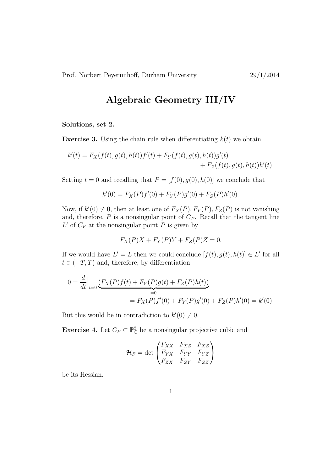## Algebraic Geometry III/IV

## Solutions, set 2.

**Exercise 3.** Using the chain rule when differentiating  $k(t)$  we obtain

$$
k'(t) = F_X(f(t), g(t), h(t))f'(t) + F_Y(f(t), g(t), h(t))g'(t) + F_Z(f(t), g(t), h(t))h'(t).
$$

Setting  $t = 0$  and recalling that  $P = [f(0), g(0), h(0)]$  we conclude that

$$
k'(0) = F_X(P)f'(0) + F_Y(P)g'(0) + F_Z(P)h'(0).
$$

Now, if  $k'(0) \neq 0$ , then at least one of  $F_X(P)$ ,  $F_Y(P)$ ,  $F_Z(P)$  is not vanishing and, therefore,  $P$  is a nonsingular point of  $C_F$ . Recall that the tangent line  $L'$  of  $C_F$  at the nonsingular point P is given by

$$
F_X(P)X + F_Y(P)Y + F_Z(P)Z = 0.
$$

If we would have  $L' = L$  then we could conclude  $[f(t), g(t), h(t)] \in L'$  for all  $t \in (-T, T)$  and, therefore, by differentiation

$$
0 = \frac{d}{dt}\Big|_{t=0} \underbrace{(F_X(P)f(t) + F_Y(P)g(t) + F_Z(P)h(t))}_{=0}
$$
  
=  $F_X(P)f'(0) + F_Y(P)g'(0) + F_Z(P)h'(0) = k'(0).$ 

But this would be in contradiction to  $k'(0) \neq 0$ .

**Exercise 4.** Let  $C_F \subset \mathbb{P}_{\mathbb{C}}^2$  be a nonsingular projective cubic and

$$
\mathcal{H}_F = \det \begin{pmatrix} F_{XX} & F_{XZ} & F_{XZ} \\ F_{YX} & F_{YY} & F_{YZ} \\ F_{ZX} & F_{ZY} & F_{ZZ} \end{pmatrix}
$$

be its Hessian.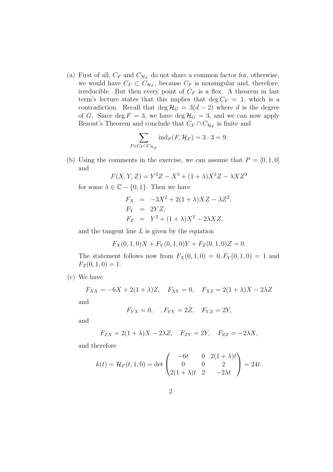(a) First of all,  $C_F$  and  $C_{\mathcal{H}_F}$  do not share a common factor for, otherwise, we would have  $C_F \subset C_{\mathcal{H}_F}$ , because  $C_F$  is nonsingular and, therefore, irreducible. But then every point of  $C_F$  is a flex. A theorem in last term's lecture states that this implies that deg  $C_F = 1$ , which is a contradiction. Recall that deg  $\mathcal{H}_G = 3(d-2)$  where d is the degree of G. Since deg  $F = 3$ , we have deg  $\mathcal{H}_G = 3$ , and we can now apply Bezout's Theorem and conclude that  $C_F \cap C_{\mathcal{H}_F}$  is finite and

$$
\sum_{P \in C_F \cap C_{\mathcal{H}_F}} \text{ind}_P(F, \mathcal{H}_F) = 3 \cdot 3 = 9.
$$

(b) Using the comments in the exercise, we can assume that  $P = [0, 1, 0]$ and

$$
F(X,Y,Z) = Y^2Z - X^3 + (1+\lambda)X^2Z - \lambda XZ^2
$$

for some  $\lambda \in \mathbb{C} - \{0, 1\}$ . Then we have

$$
F_X = -3X^2 + 2(1+\lambda)XZ - \lambda Z^2,
$$
  
\n
$$
F_Y = 2YZ,
$$
  
\n
$$
F_Z = Y^2 + (1+\lambda)X^2 - 2\lambda XZ,
$$

and the tangent line  $L$  is given by the equation

$$
F_X(0,1,0)X + F_Y(0,1,0)Y + F_Z(0,1,0)Z = 0.
$$

The statement follows now from  $F_X(0, 1, 0) = 0, F_Y(0, 1, 0) = 1$  and  $F_Z(0, 1, 0) = 1.$ 

(c) We have

 $F_{XX} = -6X + 2(1 + \lambda)Z$ ,  $F_{XY} = 0$ ,  $F_{XZ} = 2(1 + \lambda)X - 2\lambda Z$ 

and

$$
F_{YX} = 0, \quad, F_{YY} = 2Z, \quad F_{YZ} = 2Y,
$$

and

$$
F_{ZX} = 2(1+\lambda)X - 2\lambda Z, \quad F_{ZY} = 2Y, \quad F_{ZZ} = -2\lambda X,
$$

and therefore

$$
k(t) = \mathcal{H}_F(t, 1, 0) = \det \begin{pmatrix} -6t & 0 & 2(1 + \lambda)t \\ 0 & 0 & 2 \\ 2(1 + \lambda)t & 2 & -2\lambda t \end{pmatrix} = 24t.
$$